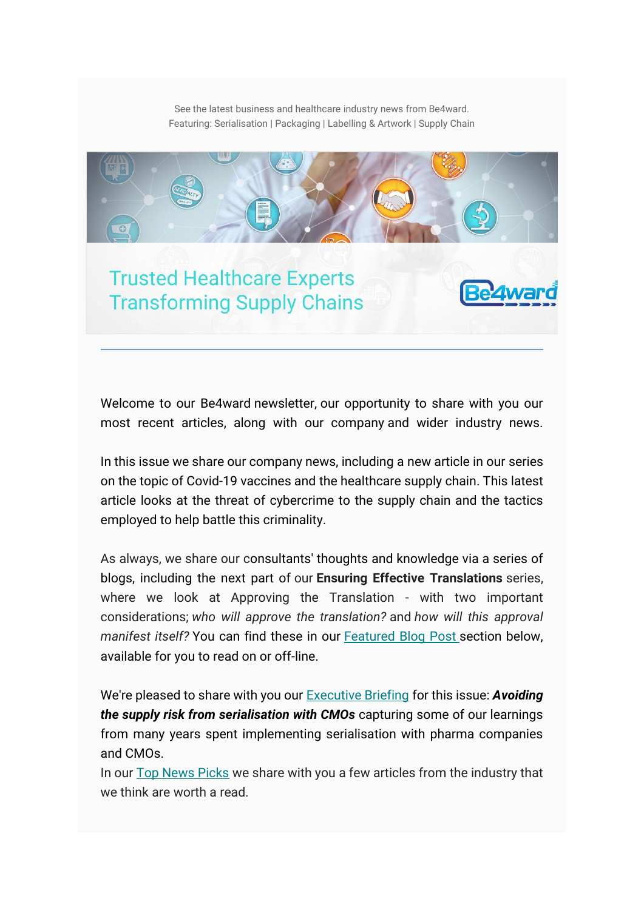See the latest business and healthcare industry news from Be4ward. Featuring: Serialisation | Packaging | Labelling & Artwork | Supply Chain



Welcome to our Be4ward newsletter, our opportunity to share with you our most recent articles, along with our company and wider industry news.

In this issue we share our company news, including a new article in our series on the topic of Covid-19 vaccines and the healthcare supply chain. This latest article looks at the threat of cybercrime to the supply chain and the tactics employed to help battle this criminality.

As always, we share our consultants' thoughts and knowledge via a series of blogs, including the next part of our **Ensuring Effective Translations** series, where we look at Approving the Translation - with two important considerations; *who will approve the translation?* and *how will this approval manifest itself?* You can find these in our [Featured Blog Post](#page-4-0) section below, available for you to read on or off-line.

We're pleased to share with you our [Executive Briefing](#page-6-0) for this issue: *Avoiding the supply risk from serialisation with CMOs* capturing some of our learnings from many years spent implementing serialisation with pharma companies and CMOs.

In our [Top News Picks](#page-8-0) we share with you a few articles from the industry that we think are worth a read.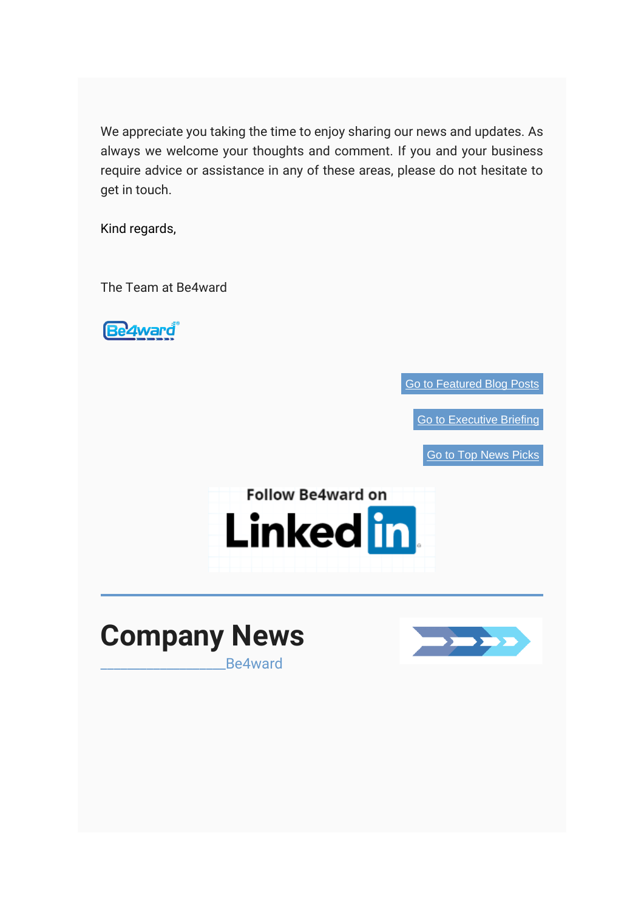We appreciate you taking the time to enjoy sharing our news and updates. As always we welcome your thoughts and comment. If you and your business require advice or assistance in any of these areas, please do not hesitate to get in touch.

Kind regards,

The Team at Be4ward

**Be4ward** 

[Go to Featured Blog Posts](#page-4-0)

[Go to Executive Briefing](#page-6-0)

[Go to Top News Picks](#page-8-0)







\_\_\_\_\_\_\_\_\_\_\_\_\_\_\_\_\_\_\_Be4ward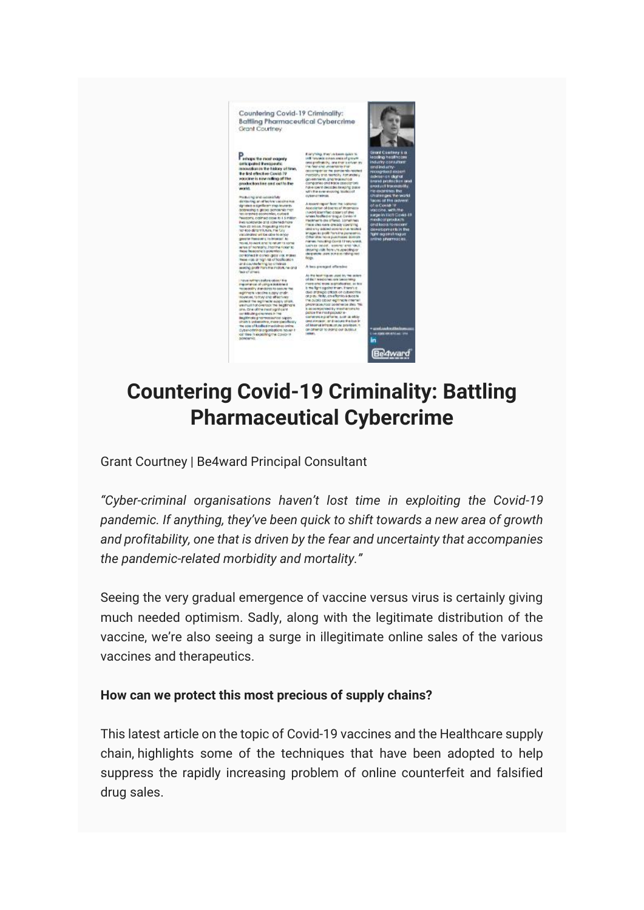

# **Countering Covid-19 Criminality: Battling Pharmaceutical Cybercrime**

Grant Courtney | Be4ward Principal Consultant

*"Cyber-criminal organisations haven't lost time in exploiting the Covid-19 pandemic. If anything, they've been quick to shift towards a new area of growth and profitability, one that is driven by the fear and uncertainty that accompanies the pandemic-related morbidity and mortality."*

Seeing the very gradual emergence of vaccine versus virus is certainly giving much needed optimism. Sadly, along with the legitimate distribution of the vaccine, we're also seeing a surge in illegitimate online sales of the various vaccines and therapeutics.

#### **How can we protect this most precious of supply chains?**

This latest article on the topic of Covid-19 vaccines and the Healthcare supply chain, highlights some of the techniques that have been adopted to help suppress the rapidly increasing problem of online counterfeit and falsified drug sales.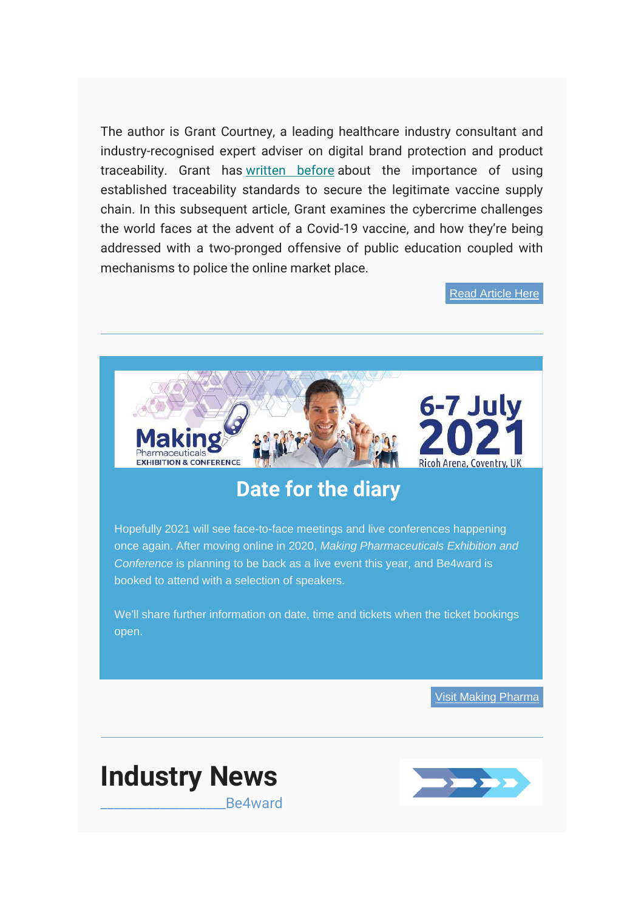The author is Grant Courtney, a leading healthcare industry consultant and industry-recognised expert adviser on digital brand protection and product traceability. Grant has [written before](https://www.be4ward.com/wp-content/uploads/2020/11/1-Covid-19-vaccine-Applying-traceability-to-global-distribution.pdf) about the importance of using established traceability standards to secure the legitimate vaccine supply chain. In this subsequent article, Grant examines the cybercrime challenges the world faces at the advent of a Covid-19 vaccine, and how they're being addressed with a two-pronged offensive of public education coupled with mechanisms to police the online market place.

[Read Article Here](https://www.be4ward.com/wp-content/uploads/2021/01/Countering-Covid-19-Criminality.pdf)



# **Date for the diary**

Hopefully 2021 will see face-to-face meetings and live conferences happening once again. After moving online in 2020, *Making Pharmaceuticals Exhibition and Conference* is planning to be back as a live event this year, and Be4ward is booked to attend with a selection of speakers.

We'll share further information on date, time and tickets when the ticket bookings open.

[Visit Making Pharma](https://www.makingpharma.com/)



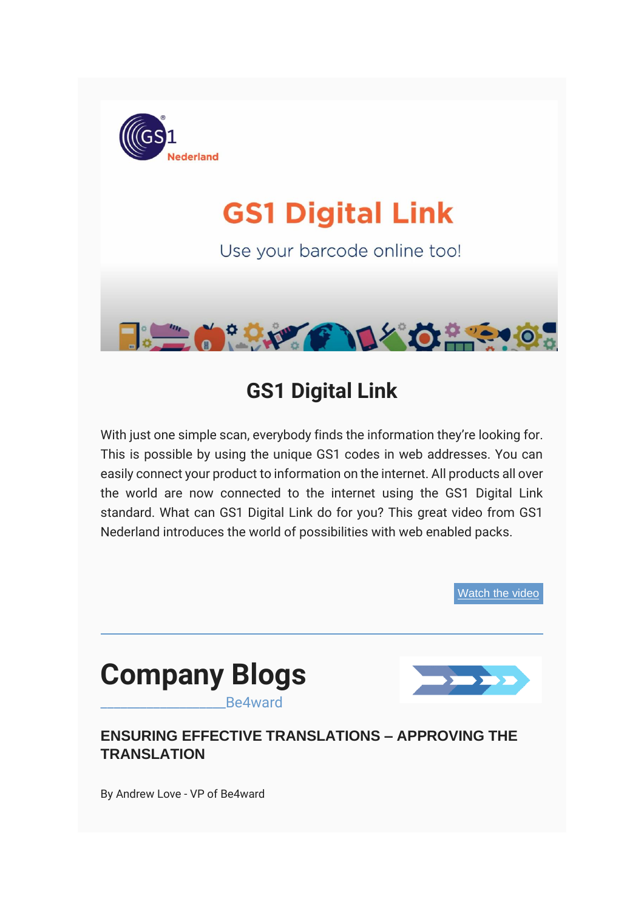

# **GS1 Digital Link**

Use your barcode online too!



# **GS1 Digital Link**

With just one simple scan, everybody finds the information they're looking for. This is possible by using the unique GS1 codes in web addresses. You can easily connect your product to information on the internet. All products all over the world are now connected to the internet using the GS1 Digital Link standard. What can GS1 Digital Link do for you? This great video from GS1 Nederland introduces the world of possibilities with web enabled packs.

[Watch the video](https://www.youtube.com/watch?v=jrgr7A6jBbo)

<span id="page-4-0"></span>

\_\_\_\_\_\_\_\_\_\_\_\_\_\_\_\_\_\_\_Be4ward



# **ENSURING EFFECTIVE TRANSLATIONS – APPROVING THE TRANSLATION**

By Andrew Love - VP of Be4ward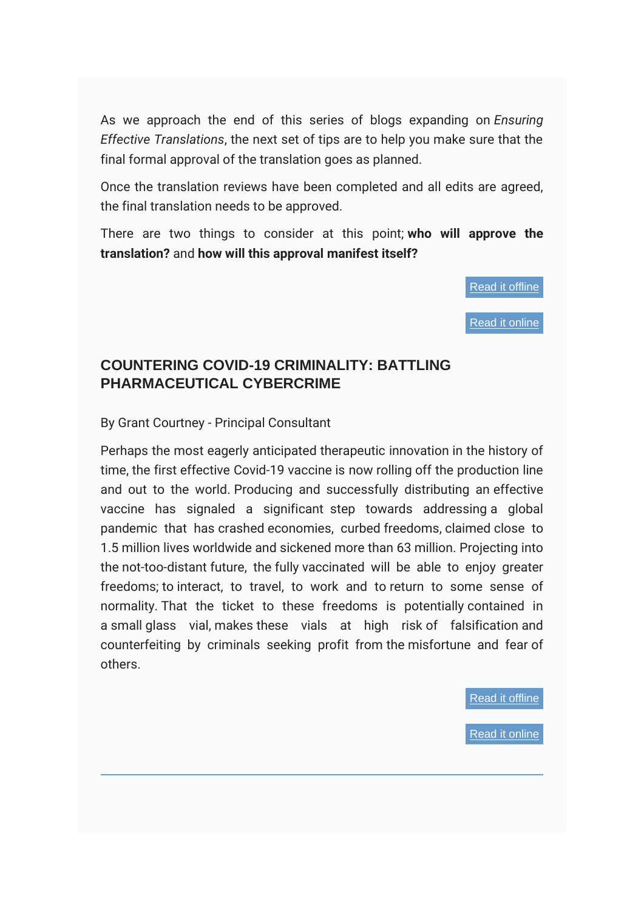As we approach the end of this series of blogs expanding on *Ensuring Effective Translations*, the next set of tips are to help you make sure that the final formal approval of the translation goes as planned.

Once the translation reviews have been completed and all edits are agreed, the final translation needs to be approved.

There are two things to consider at this point; **who will approve the translation?** and **how will this approval manifest itself?**

[Read it offline](#page-24-0)

[Read it online](https://www.be4ward.com/ensuring-effective-translations-approving-the-translation-2/)

## **COUNTERING COVID-19 CRIMINALITY: BATTLING PHARMACEUTICAL CYBERCRIME**

By Grant Courtney - Principal Consultant

Perhaps the most eagerly anticipated therapeutic innovation in the history of time, the first effective Covid-19 vaccine is now rolling off the production line and out to the world. Producing and successfully distributing an effective vaccine has signaled a significant step towards addressing a global pandemic that has crashed economies, curbed freedoms, claimed close to 1.5 million lives worldwide and sickened more than 63 million. Projecting into the not-too-distant future, the fully vaccinated will be able to enjoy greater freedoms; to interact, to travel, to work and to return to some sense of normality. That the ticket to these freedoms is potentially contained in a small glass vial, makes these vials at high risk of falsification and counterfeiting by criminals seeking profit from the misfortune and fear of others.

[Read it offline](#page-26-0)

[Read it online](https://www.be4ward.com/countering-covid-19-criminality-battling-pharmaceutical-cybercrime/)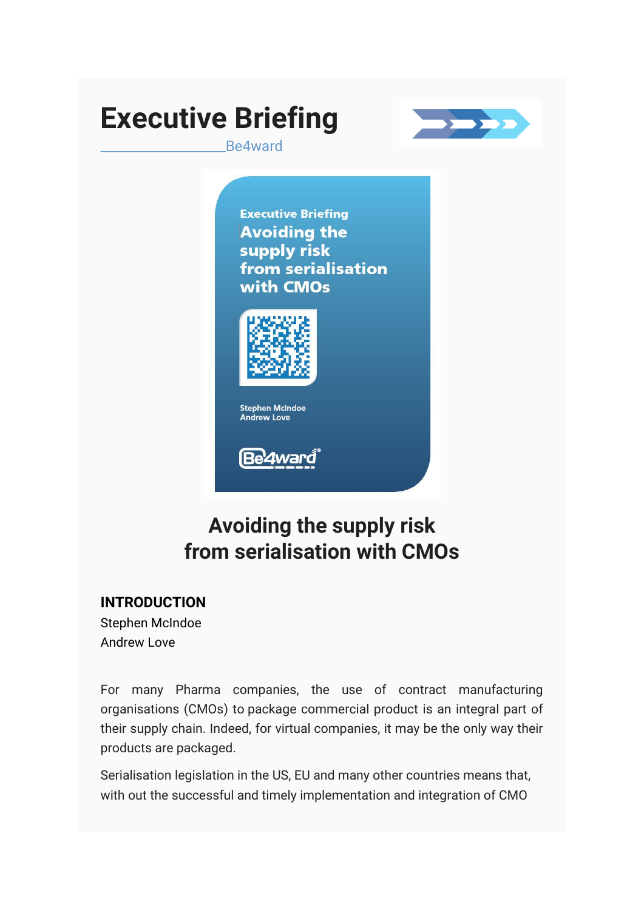# **Executive Briefing**



\_\_\_\_\_\_\_\_\_\_\_\_\_\_\_\_\_\_\_Be4ward

**Executive Briefing Avoiding the** supply risk from serialisation with CMOs



Be'4ward

# **Avoiding the supply risk from serialisation with CMOs**

# <span id="page-6-0"></span>**INTRODUCTION**

Stephen McIndoe Andrew Love

For many Pharma companies, the use of contract manufacturing organisations (CMOs) to package commercial product is an integral part of their supply chain. Indeed, for virtual companies, it may be the only way their products are packaged.

Serialisation legislation in the US, EU and many other countries means that, with out the successful and timely implementation and integration of CMO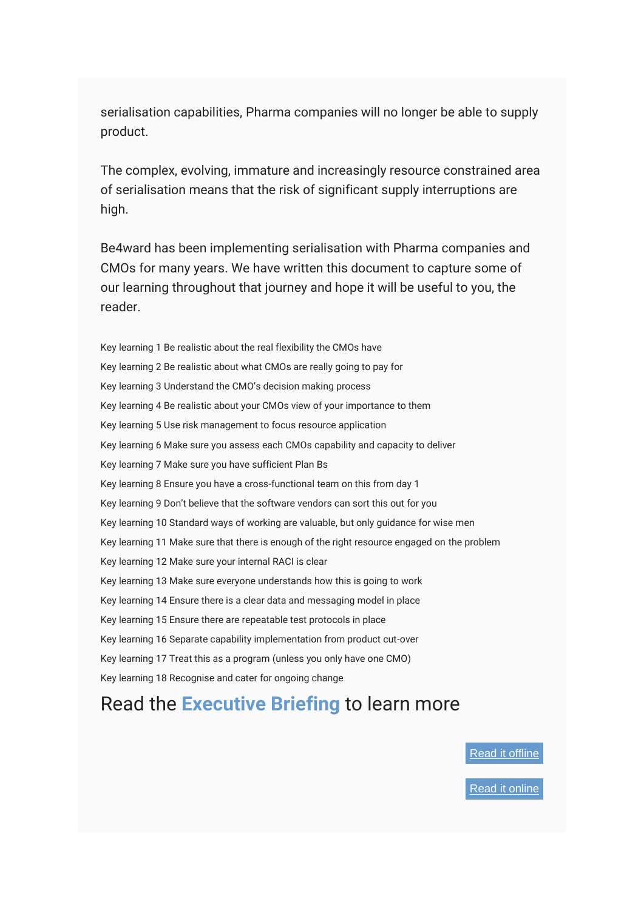serialisation capabilities, Pharma companies will no longer be able to supply product.

The complex, evolving, immature and increasingly resource constrained area of serialisation means that the risk of significant supply interruptions are high.

Be4ward has been implementing serialisation with Pharma companies and CMOs for many years. We have written this document to capture some of our learning throughout that journey and hope it will be useful to you, the reader.

- Key learning 1 Be realistic about the real flexibility the CMOs have
- Key learning 2 Be realistic about what CMOs are really going to pay for
- Key learning 3 Understand the CMO's decision making process
- Key learning 4 Be realistic about your CMOs view of your importance to them
- Key learning 5 Use risk management to focus resource application
- Key learning 6 Make sure you assess each CMOs capability and capacity to deliver
- Key learning 7 Make sure you have sufficient Plan Bs
- Key learning 8 Ensure you have a cross-functional team on this from day 1
- Key learning 9 Don't believe that the software vendors can sort this out for you
- Key learning 10 Standard ways of working are valuable, but only guidance for wise men
- Key learning 11 Make sure that there is enough of the right resource engaged on the problem
- Key learning 12 Make sure your internal RACI is clear
- Key learning 13 Make sure everyone understands how this is going to work
- Key learning 14 Ensure there is a clear data and messaging model in place
- Key learning 15 Ensure there are repeatable test protocols in place
- Key learning 16 Separate capability implementation from product cut-over
- Key learning 17 Treat this as a program (unless you only have one CMO)
- Key learning 18 Recognise and cater for ongoing change

# Read the **[Executive Briefing](https://mcusercontent.com/e26c7f2af713739ac392fa0ba/files/94303959-ba08-4724-9234-f299262dd141/Executive_Briefing_Avoiding_the_supply_risk_from_serialisation_with_CMOs_v6.pdf)** to learn more

[Read it offline](#page-12-0)

[Read it online](https://mcusercontent.com/e26c7f2af713739ac392fa0ba/files/94303959-ba08-4724-9234-f299262dd141/Executive_Briefing_Avoiding_the_supply_risk_from_serialisation_with_CMOs_v6.pdf)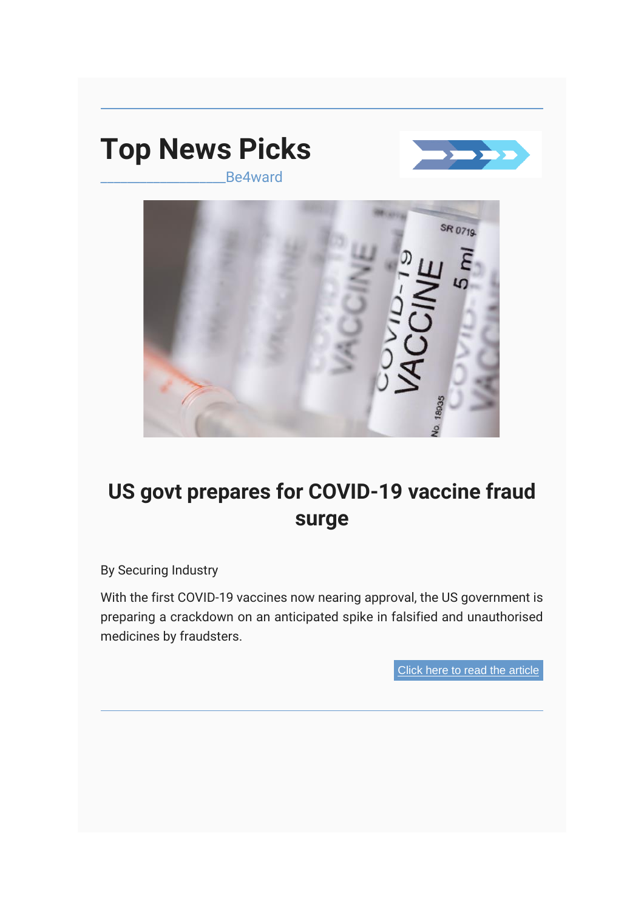<span id="page-8-0"></span>

\_\_\_\_\_\_\_\_\_\_\_\_\_\_\_\_\_\_\_Be4ward





# **US govt prepares for COVID-19 vaccine fraud surge**

By Securing Industry

With the first COVID-19 vaccines now nearing approval, the US government is preparing a crackdown on an anticipated spike in falsified and unauthorised medicines by fraudsters.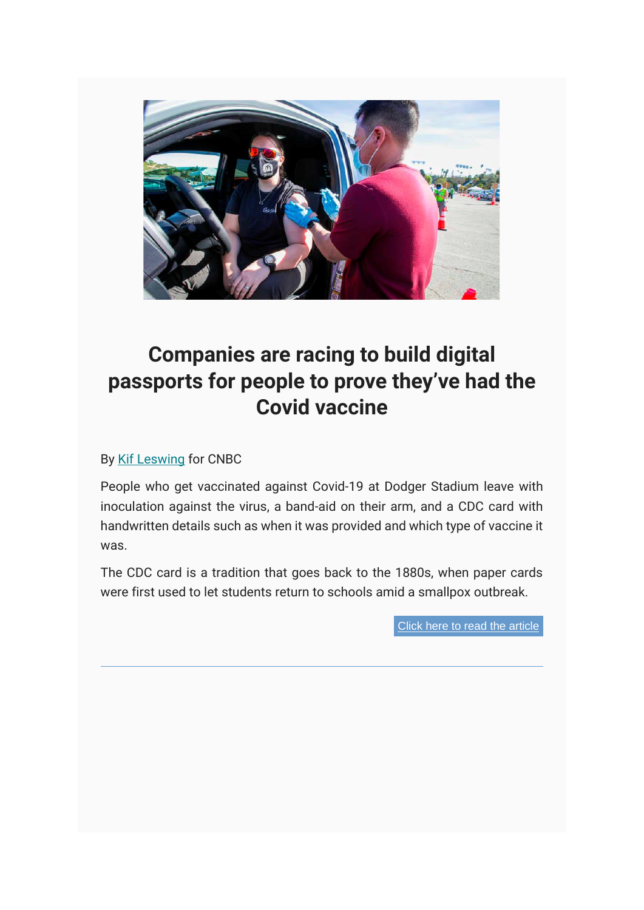

# **Companies are racing to build digital passports for people to prove they've had the Covid vaccine**

#### By [Kif Leswing](https://www.cnbc.com/kif-leswing/) for CNBC

People who get vaccinated against Covid-19 at Dodger Stadium leave with inoculation against the virus, a band-aid on their arm, and a CDC card with handwritten details such as when it was provided and which type of vaccine it was.

The CDC card is a tradition that goes back to the 1880s, when paper cards were first used to let students return to schools amid a smallpox outbreak.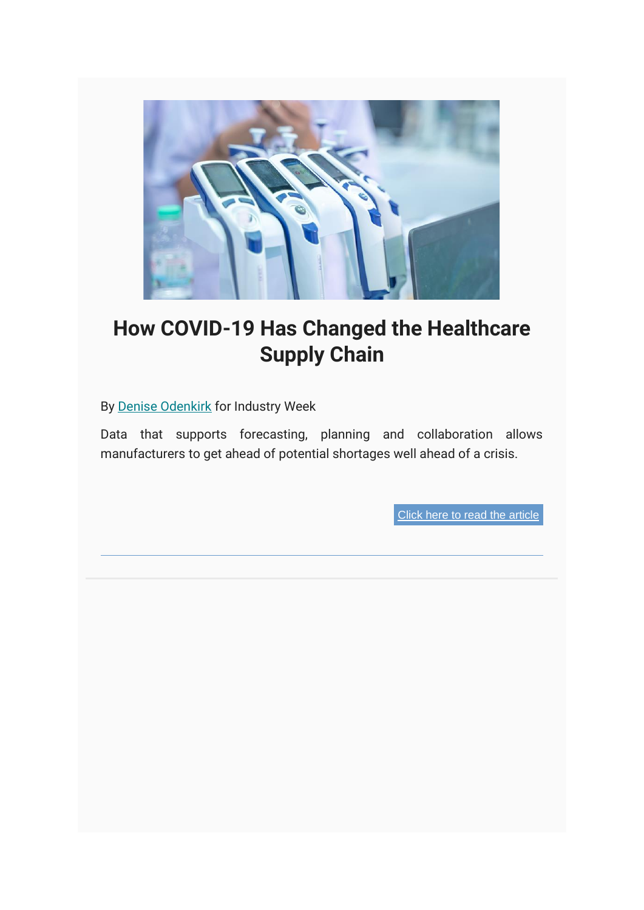

# **How COVID-19 Has Changed the Healthcare Supply Chain**

By [Denise Odenkirk](https://www.industryweek.com/home/contact/21151792/denise-odenkirk) for Industry Week

Data that supports forecasting, planning and collaboration allows manufacturers to get ahead of potential shortages well ahead of a crisis.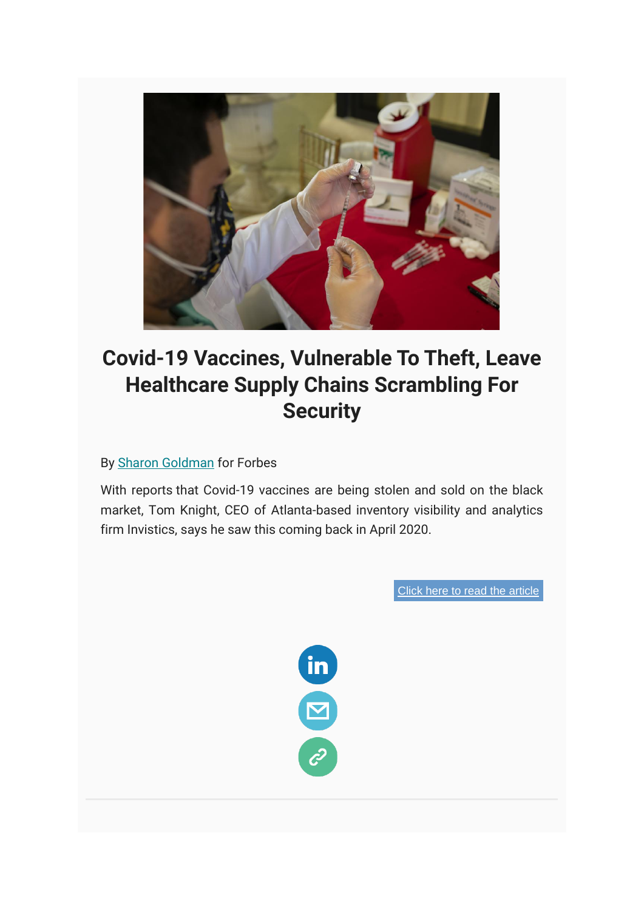

# **Covid-19 Vaccines, Vulnerable To Theft, Leave Healthcare Supply Chains Scrambling For Security**

By [Sharon Goldman](https://www.forbes.com/sites/sharongoldman/) for Forbes

With reports that Covid-19 vaccines are being stolen and sold on the black market, Tom Knight, CEO of Atlanta-based inventory visibility and analytics firm Invistics, says he saw this coming back in April 2020.

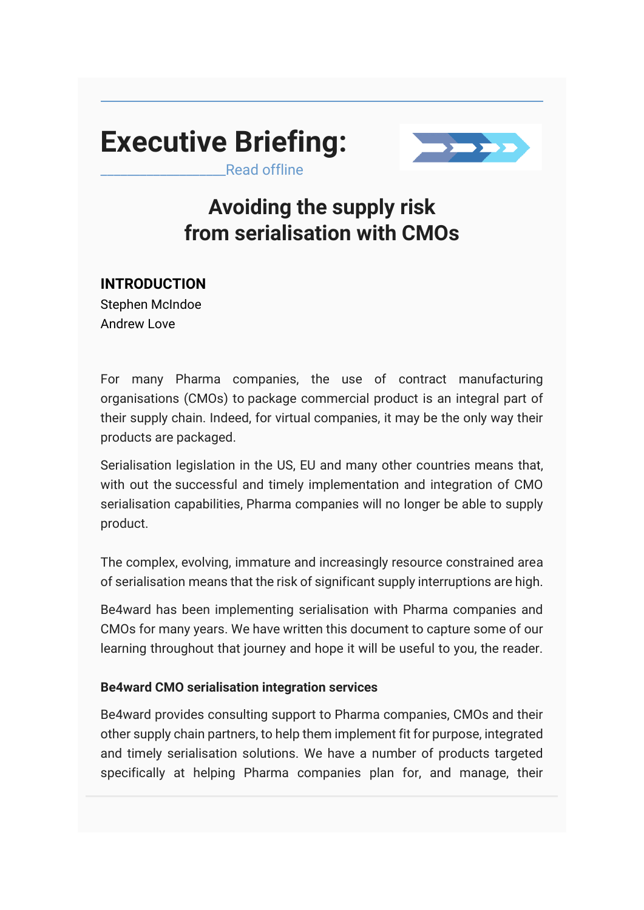# <span id="page-12-0"></span>**Executive Briefing:**



Read offline

# **Avoiding the supply risk from serialisation with CMOs**

# **INTRODUCTION**

Stephen McIndoe Andrew Love

For many Pharma companies, the use of contract manufacturing organisations (CMOs) to package commercial product is an integral part of their supply chain. Indeed, for virtual companies, it may be the only way their products are packaged.

Serialisation legislation in the US, EU and many other countries means that, with out the successful and timely implementation and integration of CMO serialisation capabilities, Pharma companies will no longer be able to supply product.

The complex, evolving, immature and increasingly resource constrained area of serialisation means that the risk of significant supply interruptions are high.

Be4ward has been implementing serialisation with Pharma companies and CMOs for many years. We have written this document to capture some of our learning throughout that journey and hope it will be useful to you, the reader.

### **Be4ward CMO serialisation integration services**

Be4ward provides consulting support to Pharma companies, CMOs and their other supply chain partners, to help them implement fit for purpose, integrated and timely serialisation solutions. We have a number of products targeted specifically at helping Pharma companies plan for, and manage, their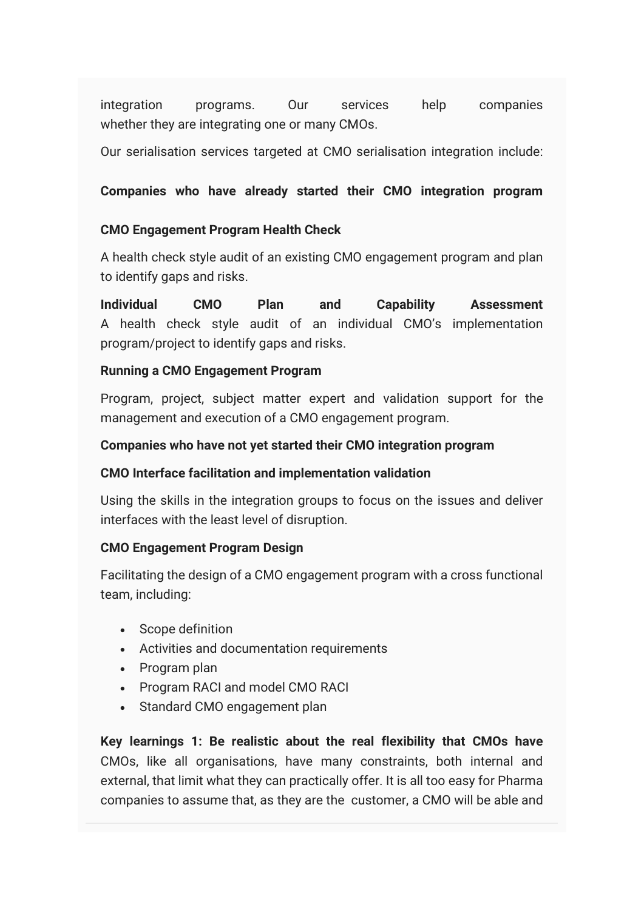integration programs. Our services help companies whether they are integrating one or many CMOs.

Our serialisation services targeted at CMO serialisation integration include:

### **Companies who have already started their CMO integration program**

#### **CMO Engagement Program Health Check**

A health check style audit of an existing CMO engagement program and plan to identify gaps and risks.

**Individual CMO Plan and Capability Assessment** A health check style audit of an individual CMO's implementation program/project to identify gaps and risks.

#### **Running a CMO Engagement Program**

Program, project, subject matter expert and validation support for the management and execution of a CMO engagement program.

#### **Companies who have not yet started their CMO integration program**

#### **CMO Interface facilitation and implementation validation**

Using the skills in the integration groups to focus on the issues and deliver interfaces with the least level of disruption.

#### **CMO Engagement Program Design**

Facilitating the design of a CMO engagement program with a cross functional team, including:

- Scope definition
- Activities and documentation requirements
- Program plan
- Program RACI and model CMO RACI
- Standard CMO engagement plan

**Key learnings 1: Be realistic about the real flexibility that CMOs have** CMOs, like all organisations, have many constraints, both internal and external, that limit what they can practically offer. It is all too easy for Pharma companies to assume that, as they are the customer, a CMO will be able and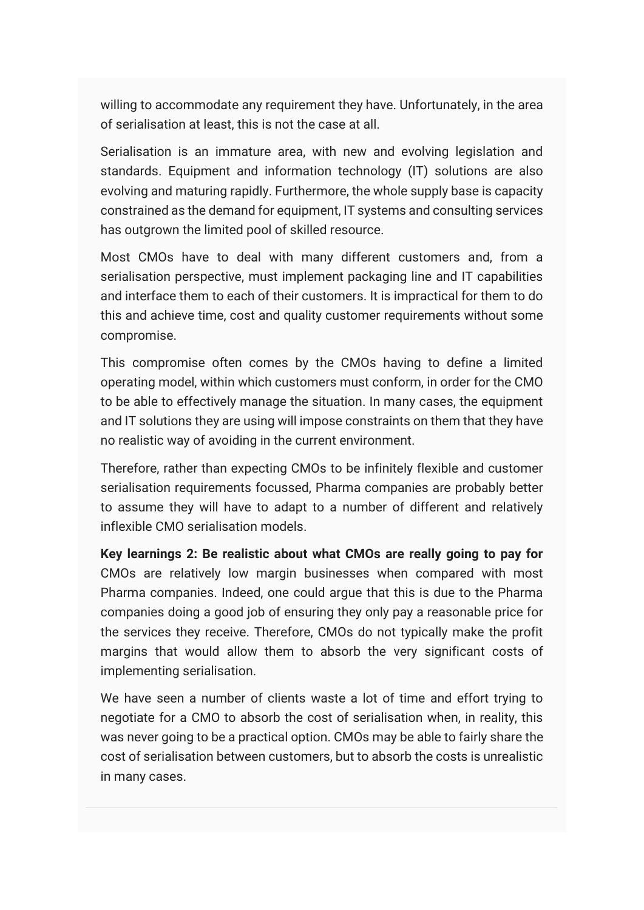willing to accommodate any requirement they have. Unfortunately, in the area of serialisation at least, this is not the case at all.

Serialisation is an immature area, with new and evolving legislation and standards. Equipment and information technology (IT) solutions are also evolving and maturing rapidly. Furthermore, the whole supply base is capacity constrained as the demand for equipment, IT systems and consulting services has outgrown the limited pool of skilled resource.

Most CMOs have to deal with many different customers and, from a serialisation perspective, must implement packaging line and IT capabilities and interface them to each of their customers. It is impractical for them to do this and achieve time, cost and quality customer requirements without some compromise.

This compromise often comes by the CMOs having to define a limited operating model, within which customers must conform, in order for the CMO to be able to effectively manage the situation. In many cases, the equipment and IT solutions they are using will impose constraints on them that they have no realistic way of avoiding in the current environment.

Therefore, rather than expecting CMOs to be infinitely flexible and customer serialisation requirements focussed, Pharma companies are probably better to assume they will have to adapt to a number of different and relatively inflexible CMO serialisation models.

**Key learnings 2: Be realistic about what CMOs are really going to pay for** CMOs are relatively low margin businesses when compared with most Pharma companies. Indeed, one could argue that this is due to the Pharma companies doing a good job of ensuring they only pay a reasonable price for the services they receive. Therefore, CMOs do not typically make the profit margins that would allow them to absorb the very significant costs of implementing serialisation.

We have seen a number of clients waste a lot of time and effort trying to negotiate for a CMO to absorb the cost of serialisation when, in reality, this was never going to be a practical option. CMOs may be able to fairly share the cost of serialisation between customers, but to absorb the costs is unrealistic in many cases.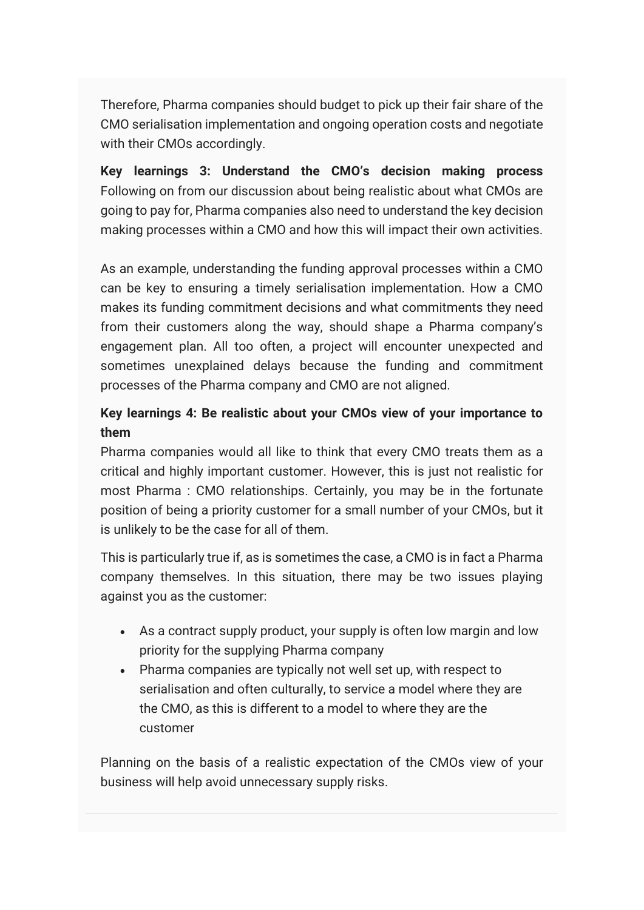Therefore, Pharma companies should budget to pick up their fair share of the CMO serialisation implementation and ongoing operation costs and negotiate with their CMOs accordingly.

**Key learnings 3: Understand the CMO's decision making process** Following on from our discussion about being realistic about what CMOs are going to pay for, Pharma companies also need to understand the key decision making processes within a CMO and how this will impact their own activities.

As an example, understanding the funding approval processes within a CMO can be key to ensuring a timely serialisation implementation. How a CMO makes its funding commitment decisions and what commitments they need from their customers along the way, should shape a Pharma company's engagement plan. All too often, a project will encounter unexpected and sometimes unexplained delays because the funding and commitment processes of the Pharma company and CMO are not aligned.

## **Key learnings 4: Be realistic about your CMOs view of your importance to them**

Pharma companies would all like to think that every CMO treats them as a critical and highly important customer. However, this is just not realistic for most Pharma : CMO relationships. Certainly, you may be in the fortunate position of being a priority customer for a small number of your CMOs, but it is unlikely to be the case for all of them.

This is particularly true if, as is sometimes the case, a CMO is in fact a Pharma company themselves. In this situation, there may be two issues playing against you as the customer:

- As a contract supply product, your supply is often low margin and low priority for the supplying Pharma company
- Pharma companies are typically not well set up, with respect to serialisation and often culturally, to service a model where they are the CMO, as this is different to a model to where they are the customer

Planning on the basis of a realistic expectation of the CMOs view of your business will help avoid unnecessary supply risks.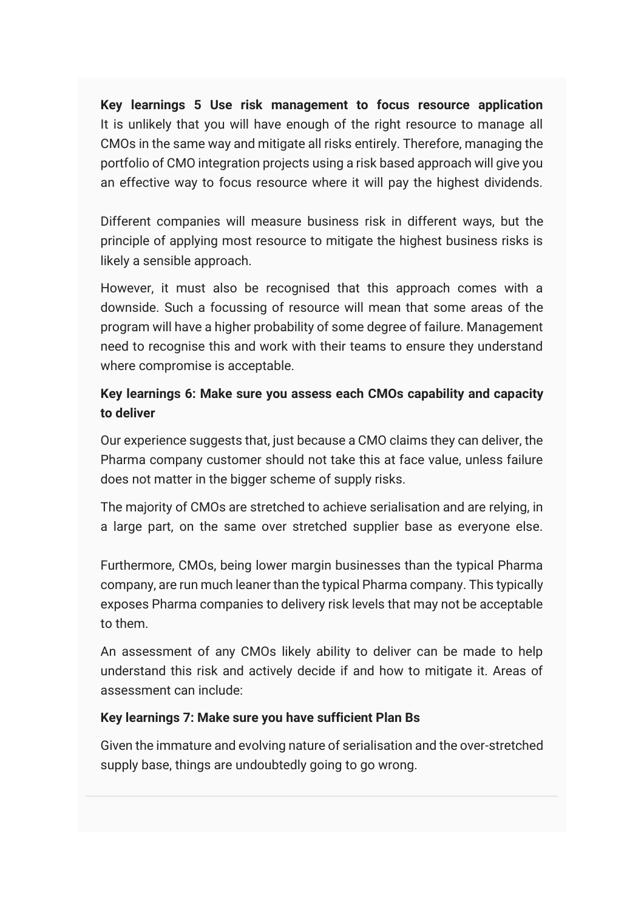**Key learnings 5 Use risk management to focus resource application** It is unlikely that you will have enough of the right resource to manage all CMOs in the same way and mitigate all risks entirely. Therefore, managing the portfolio of CMO integration projects using a risk based approach will give you an effective way to focus resource where it will pay the highest dividends.

Different companies will measure business risk in different ways, but the principle of applying most resource to mitigate the highest business risks is likely a sensible approach.

However, it must also be recognised that this approach comes with a downside. Such a focussing of resource will mean that some areas of the program will have a higher probability of some degree of failure. Management need to recognise this and work with their teams to ensure they understand where compromise is acceptable.

### **Key learnings 6: Make sure you assess each CMOs capability and capacity to deliver**

Our experience suggests that, just because a CMO claims they can deliver, the Pharma company customer should not take this at face value, unless failure does not matter in the bigger scheme of supply risks.

The majority of CMOs are stretched to achieve serialisation and are relying, in a large part, on the same over stretched supplier base as everyone else.

Furthermore, CMOs, being lower margin businesses than the typical Pharma company, are run much leaner than the typical Pharma company. This typically exposes Pharma companies to delivery risk levels that may not be acceptable to them.

An assessment of any CMOs likely ability to deliver can be made to help understand this risk and actively decide if and how to mitigate it. Areas of assessment can include:

### **Key learnings 7: Make sure you have sufficient Plan Bs**

Given the immature and evolving nature of serialisation and the over-stretched supply base, things are undoubtedly going to go wrong.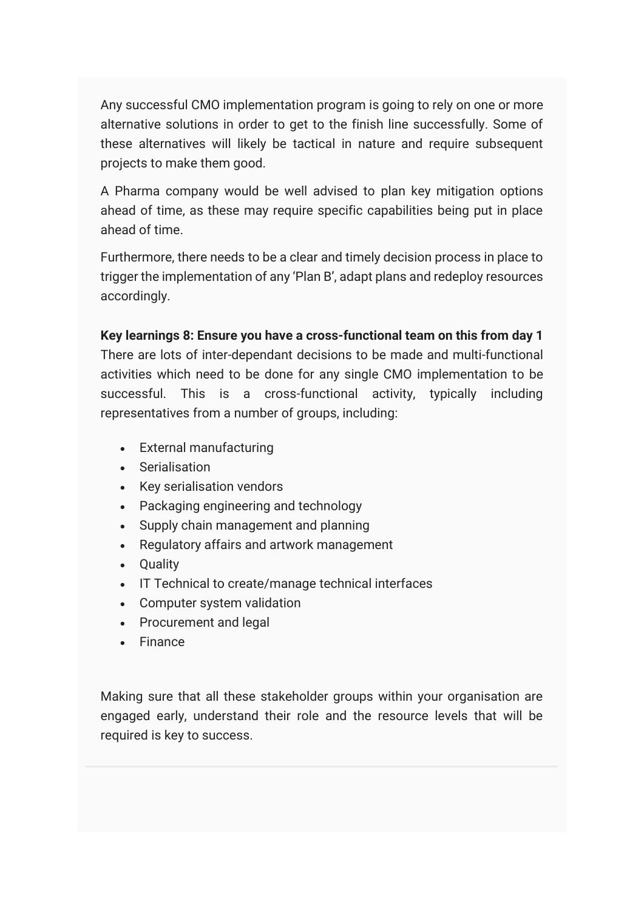Any successful CMO implementation program is going to rely on one or more alternative solutions in order to get to the finish line successfully. Some of these alternatives will likely be tactical in nature and require subsequent projects to make them good.

A Pharma company would be well advised to plan key mitigation options ahead of time, as these may require specific capabilities being put in place ahead of time.

Furthermore, there needs to be a clear and timely decision process in place to trigger the implementation of any 'Plan B', adapt plans and redeploy resources accordingly.

**Key learnings 8: Ensure you have a cross-functional team on this from day 1** There are lots of inter-dependant decisions to be made and multi-functional activities which need to be done for any single CMO implementation to be successful. This is a cross-functional activity, typically including representatives from a number of groups, including:

- External manufacturing
- Serialisation
- Key serialisation vendors
- Packaging engineering and technology
- Supply chain management and planning
- Regulatory affairs and artwork management
- Quality
- IT Technical to create/manage technical interfaces
- Computer system validation
- Procurement and legal
- Finance

Making sure that all these stakeholder groups within your organisation are engaged early, understand their role and the resource levels that will be required is key to success.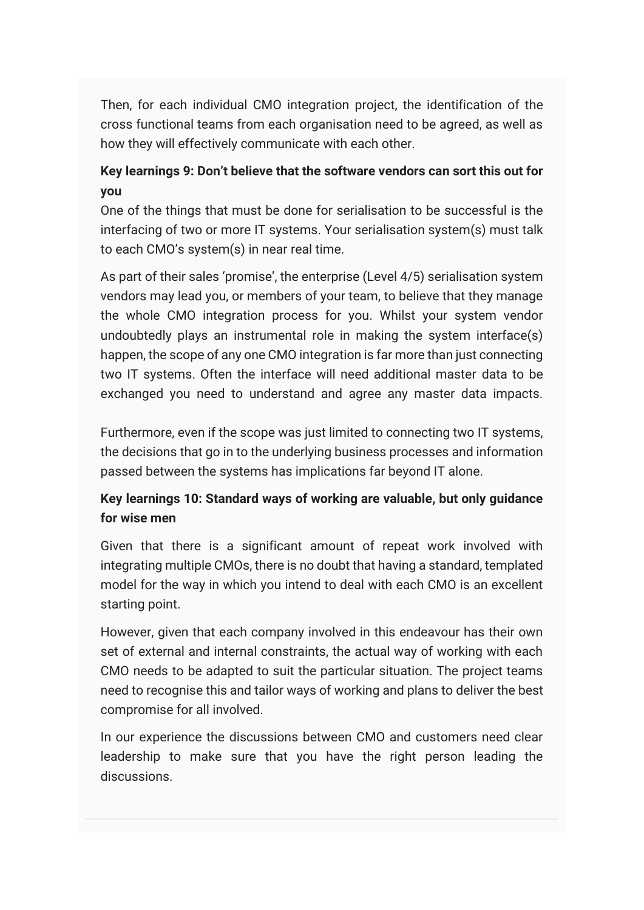Then, for each individual CMO integration project, the identification of the cross functional teams from each organisation need to be agreed, as well as how they will effectively communicate with each other.

## **Key learnings 9: Don't believe that the software vendors can sort this out for you**

One of the things that must be done for serialisation to be successful is the interfacing of two or more IT systems. Your serialisation system(s) must talk to each CMO's system(s) in near real time.

As part of their sales 'promise', the enterprise (Level 4/5) serialisation system vendors may lead you, or members of your team, to believe that they manage the whole CMO integration process for you. Whilst your system vendor undoubtedly plays an instrumental role in making the system interface(s) happen, the scope of any one CMO integration is far more than just connecting two IT systems. Often the interface will need additional master data to be exchanged you need to understand and agree any master data impacts.

Furthermore, even if the scope was just limited to connecting two IT systems, the decisions that go in to the underlying business processes and information passed between the systems has implications far beyond IT alone.

## **Key learnings 10: Standard ways of working are valuable, but only guidance for wise men**

Given that there is a significant amount of repeat work involved with integrating multiple CMOs, there is no doubt that having a standard, templated model for the way in which you intend to deal with each CMO is an excellent starting point.

However, given that each company involved in this endeavour has their own set of external and internal constraints, the actual way of working with each CMO needs to be adapted to suit the particular situation. The project teams need to recognise this and tailor ways of working and plans to deliver the best compromise for all involved.

In our experience the discussions between CMO and customers need clear leadership to make sure that you have the right person leading the discussions.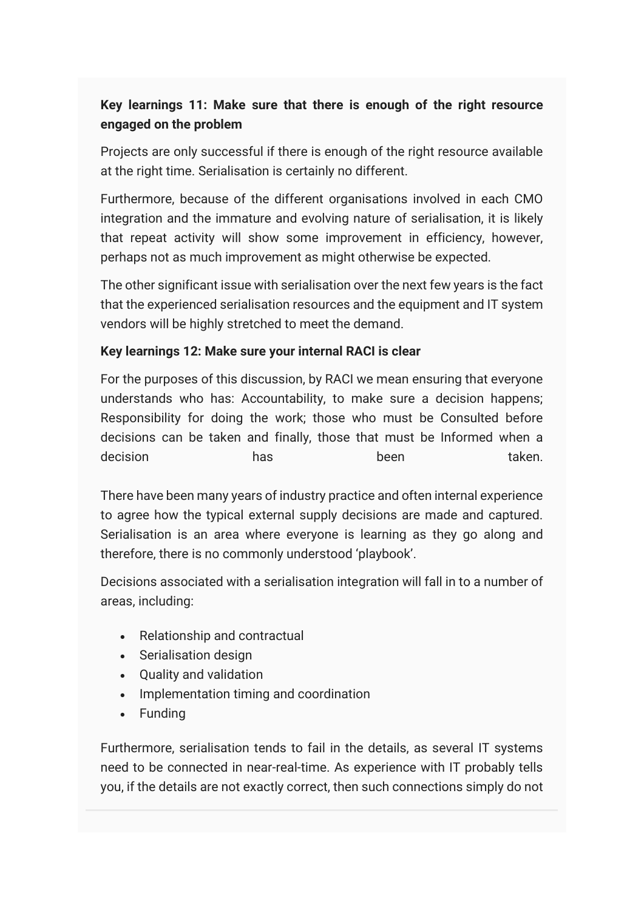## **Key learnings 11: Make sure that there is enough of the right resource engaged on the problem**

Projects are only successful if there is enough of the right resource available at the right time. Serialisation is certainly no different.

Furthermore, because of the different organisations involved in each CMO integration and the immature and evolving nature of serialisation, it is likely that repeat activity will show some improvement in efficiency, however, perhaps not as much improvement as might otherwise be expected.

The other significant issue with serialisation over the next few years is the fact that the experienced serialisation resources and the equipment and IT system vendors will be highly stretched to meet the demand.

#### **Key learnings 12: Make sure your internal RACI is clear**

For the purposes of this discussion, by RACI we mean ensuring that everyone understands who has: Accountability, to make sure a decision happens; Responsibility for doing the work; those who must be Consulted before decisions can be taken and finally, those that must be Informed when a decision has has been taken.

There have been many years of industry practice and often internal experience to agree how the typical external supply decisions are made and captured. Serialisation is an area where everyone is learning as they go along and therefore, there is no commonly understood 'playbook'.

Decisions associated with a serialisation integration will fall in to a number of areas, including:

- Relationship and contractual
- Serialisation design
- Quality and validation
- Implementation timing and coordination
- Funding

Furthermore, serialisation tends to fail in the details, as several IT systems need to be connected in near-real-time. As experience with IT probably tells you, if the details are not exactly correct, then such connections simply do not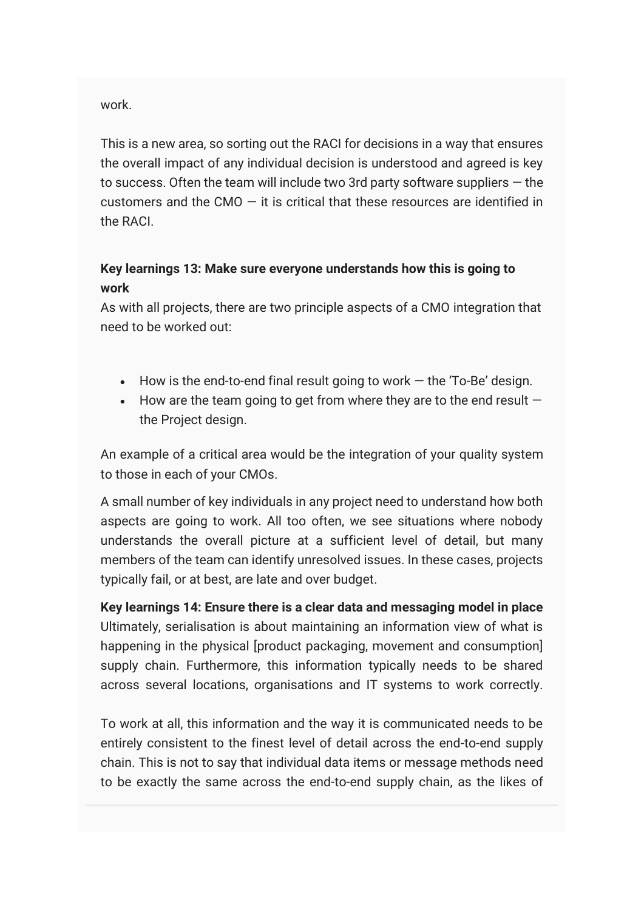work.

This is a new area, so sorting out the RACI for decisions in a way that ensures the overall impact of any individual decision is understood and agreed is key to success. Often the team will include two 3rd party software suppliers  $-$  the customers and the CMO  $-$  it is critical that these resources are identified in the RACI.

### **Key learnings 13: Make sure everyone understands how this is going to work**

As with all projects, there are two principle aspects of a CMO integration that need to be worked out:

- $\bullet$  How is the end-to-end final result going to work  $-$  the 'To-Be' design.
- How are the team going to get from where they are to the end result  $$ the Project design.

An example of a critical area would be the integration of your quality system to those in each of your CMOs.

A small number of key individuals in any project need to understand how both aspects are going to work. All too often, we see situations where nobody understands the overall picture at a sufficient level of detail, but many members of the team can identify unresolved issues. In these cases, projects typically fail, or at best, are late and over budget.

**Key learnings 14: Ensure there is a clear data and messaging model in place** Ultimately, serialisation is about maintaining an information view of what is happening in the physical [product packaging, movement and consumption] supply chain. Furthermore, this information typically needs to be shared across several locations, organisations and IT systems to work correctly.

To work at all, this information and the way it is communicated needs to be entirely consistent to the finest level of detail across the end-to-end supply chain. This is not to say that individual data items or message methods need to be exactly the same across the end-to-end supply chain, as the likes of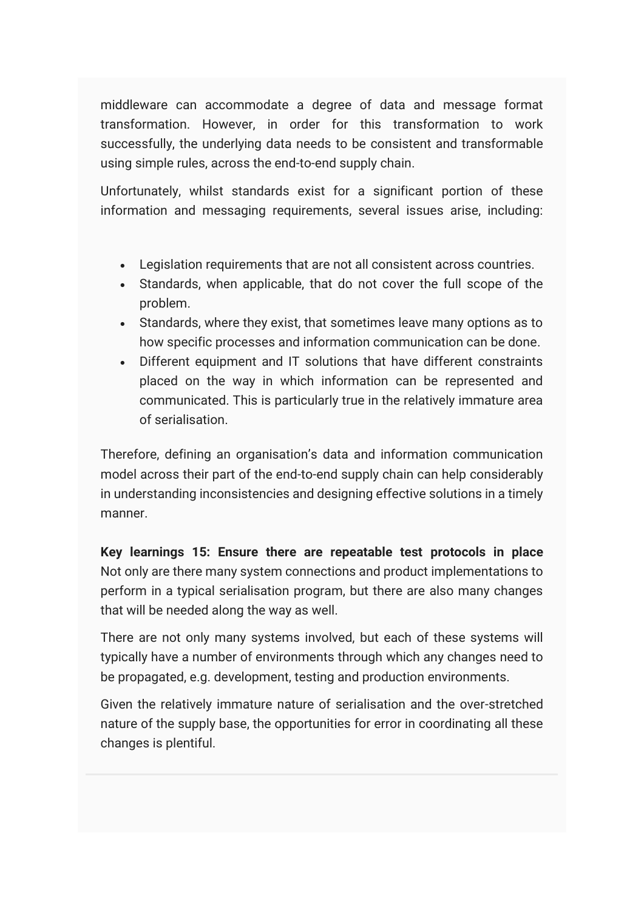middleware can accommodate a degree of data and message format transformation. However, in order for this transformation to work successfully, the underlying data needs to be consistent and transformable using simple rules, across the end-to-end supply chain.

Unfortunately, whilst standards exist for a significant portion of these information and messaging requirements, several issues arise, including:

- Legislation requirements that are not all consistent across countries.
- Standards, when applicable, that do not cover the full scope of the problem.
- Standards, where they exist, that sometimes leave many options as to how specific processes and information communication can be done.
- Different equipment and IT solutions that have different constraints placed on the way in which information can be represented and communicated. This is particularly true in the relatively immature area of serialisation.

Therefore, defining an organisation's data and information communication model across their part of the end-to-end supply chain can help considerably in understanding inconsistencies and designing effective solutions in a timely manner.

**Key learnings 15: Ensure there are repeatable test protocols in place** Not only are there many system connections and product implementations to perform in a typical serialisation program, but there are also many changes that will be needed along the way as well.

There are not only many systems involved, but each of these systems will typically have a number of environments through which any changes need to be propagated, e.g. development, testing and production environments.

Given the relatively immature nature of serialisation and the over-stretched nature of the supply base, the opportunities for error in coordinating all these changes is plentiful.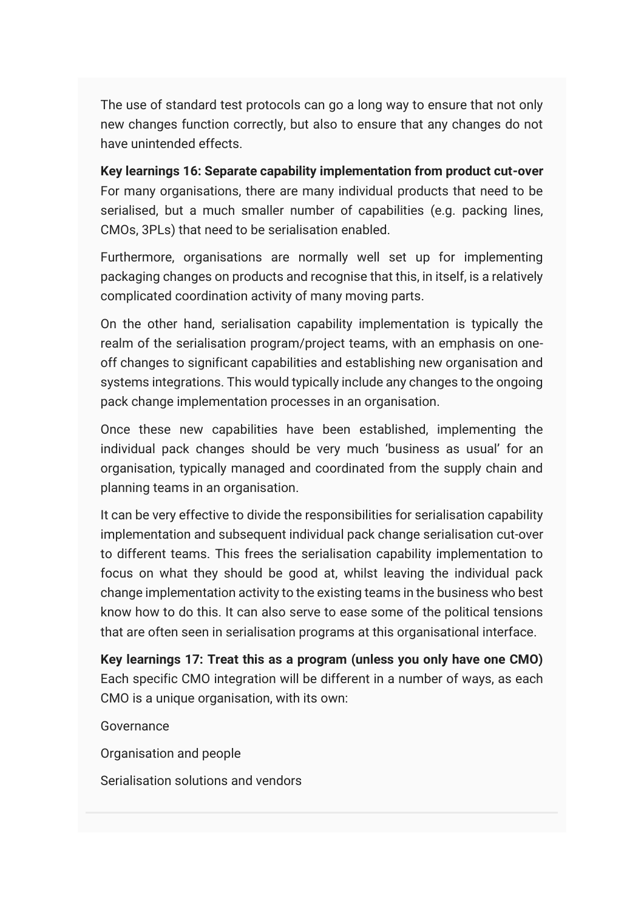The use of standard test protocols can go a long way to ensure that not only new changes function correctly, but also to ensure that any changes do not have unintended effects.

**Key learnings 16: Separate capability implementation from product cut-over** For many organisations, there are many individual products that need to be serialised, but a much smaller number of capabilities (e.g. packing lines, CMOs, 3PLs) that need to be serialisation enabled.

Furthermore, organisations are normally well set up for implementing packaging changes on products and recognise that this, in itself, is a relatively complicated coordination activity of many moving parts.

On the other hand, serialisation capability implementation is typically the realm of the serialisation program/project teams, with an emphasis on oneoff changes to significant capabilities and establishing new organisation and systems integrations. This would typically include any changes to the ongoing pack change implementation processes in an organisation.

Once these new capabilities have been established, implementing the individual pack changes should be very much 'business as usual' for an organisation, typically managed and coordinated from the supply chain and planning teams in an organisation.

It can be very effective to divide the responsibilities for serialisation capability implementation and subsequent individual pack change serialisation cut-over to different teams. This frees the serialisation capability implementation to focus on what they should be good at, whilst leaving the individual pack change implementation activity to the existing teams in the business who best know how to do this. It can also serve to ease some of the political tensions that are often seen in serialisation programs at this organisational interface.

**Key learnings 17: Treat this as a program (unless you only have one CMO)** Each specific CMO integration will be different in a number of ways, as each CMO is a unique organisation, with its own:

Governance

Organisation and people

Serialisation solutions and vendors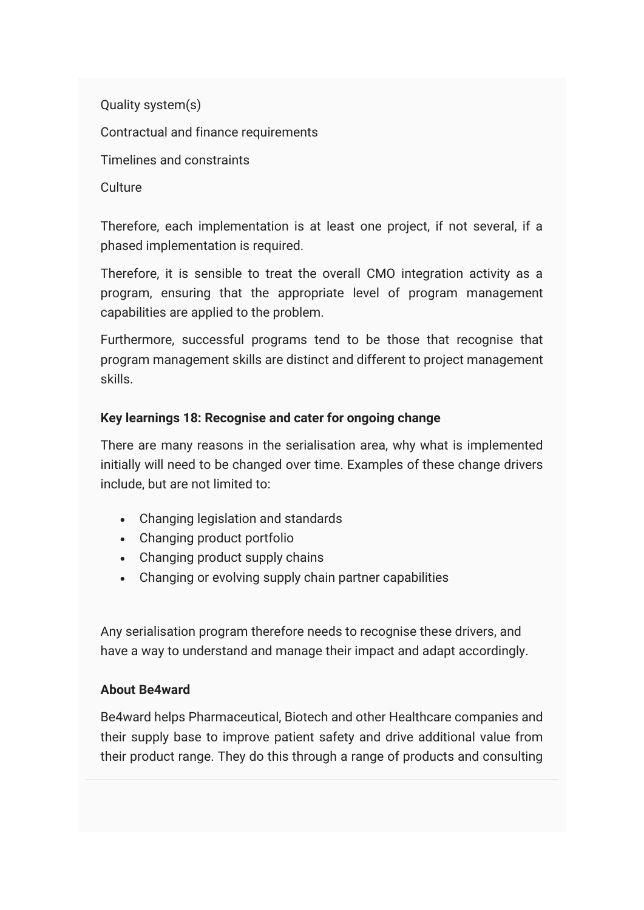Quality system(s) Contractual and finance requirements Timelines and constraints Culture

Therefore, each implementation is at least one project, if not several, if a phased implementation is required.

Therefore, it is sensible to treat the overall CMO integration activity as a program, ensuring that the appropriate level of program management capabilities are applied to the problem.

Furthermore, successful programs tend to be those that recognise that program management skills are distinct and different to project management skills.

### **Key learnings 18: Recognise and cater for ongoing change**

There are many reasons in the serialisation area, why what is implemented initially will need to be changed over time. Examples of these change drivers include, but are not limited to:

- Changing legislation and standards
- Changing product portfolio
- Changing product supply chains
- Changing or evolving supply chain partner capabilities

Any serialisation program therefore needs to recognise these drivers, and have a way to understand and manage their impact and adapt accordingly.

#### **About Be4ward**

Be4ward helps Pharmaceutical, Biotech and other Healthcare companies and their supply base to improve patient safety and drive additional value from their product range. They do this through a range of products and consulting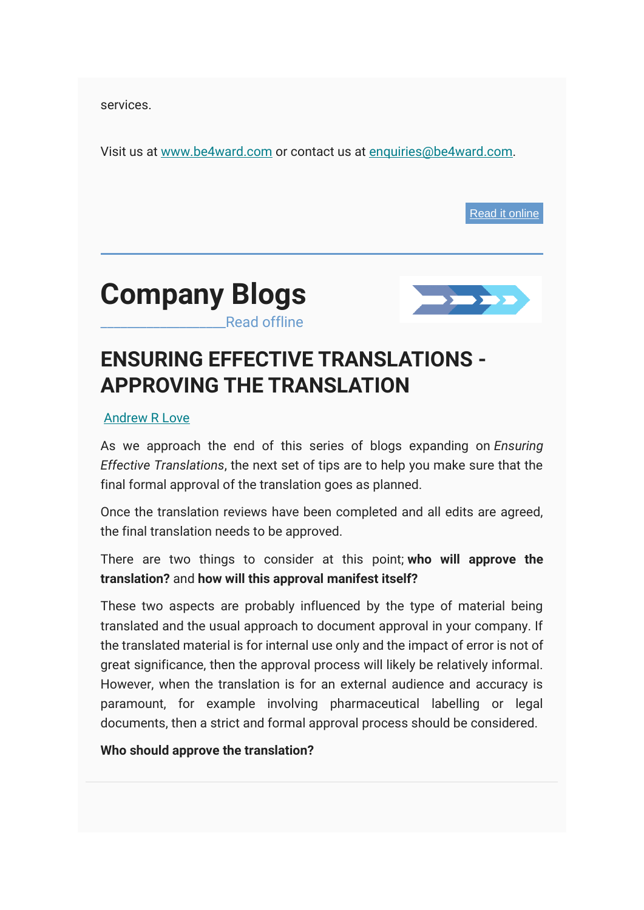services.

Visit us at [www.be4ward.com](http://www.be4ward.com/) or contact us at [enquiries@be4ward.com.](mailto:enquiries@be4ward.com)

[Read it online](https://mcusercontent.com/e26c7f2af713739ac392fa0ba/files/94303959-ba08-4724-9234-f299262dd141/Executive_Briefing_Avoiding_the_supply_risk_from_serialisation_with_CMOs_v6.pdf)





# <span id="page-24-0"></span>**ENSURING EFFECTIVE TRANSLATIONS - APPROVING THE TRANSLATION**

#### [Andrew R Love](https://www.be4ward.com/blogandrewrlove/author/stefan/)

As we approach the end of this series of blogs expanding on *Ensuring Effective Translations*, the next set of tips are to help you make sure that the final formal approval of the translation goes as planned.

Once the translation reviews have been completed and all edits are agreed, the final translation needs to be approved.

There are two things to consider at this point; **who will approve the translation?** and **how will this approval manifest itself?**

These two aspects are probably influenced by the type of material being translated and the usual approach to document approval in your company. If the translated material is for internal use only and the impact of error is not of great significance, then the approval process will likely be relatively informal. However, when the translation is for an external audience and accuracy is paramount, for example involving pharmaceutical labelling or legal documents, then a strict and formal approval process should be considered.

#### **Who should approve the translation?**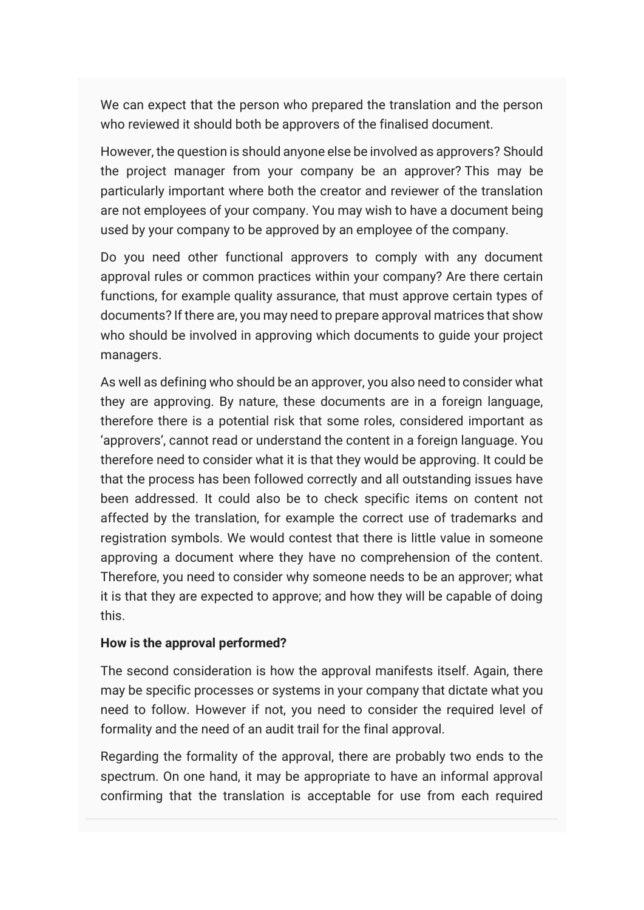We can expect that the person who prepared the translation and the person who reviewed it should both be approvers of the finalised document.

However, the question is should anyone else be involved as approvers? Should the project manager from your company be an approver? This may be particularly important where both the creator and reviewer of the translation are not employees of your company. You may wish to have a document being used by your company to be approved by an employee of the company.

Do you need other functional approvers to comply with any document approval rules or common practices within your company? Are there certain functions, for example quality assurance, that must approve certain types of documents? If there are, you may need to prepare approval matrices that show who should be involved in approving which documents to guide your project managers.

As well as defining who should be an approver, you also need to consider what they are approving. By nature, these documents are in a foreign language, therefore there is a potential risk that some roles, considered important as 'approvers', cannot read or understand the content in a foreign language. You therefore need to consider what it is that they would be approving. It could be that the process has been followed correctly and all outstanding issues have been addressed. It could also be to check specific items on content not affected by the translation, for example the correct use of trademarks and registration symbols. We would contest that there is little value in someone approving a document where they have no comprehension of the content. Therefore, you need to consider why someone needs to be an approver; what it is that they are expected to approve; and how they will be capable of doing this.

#### **How is the approval performed?**

The second consideration is how the approval manifests itself. Again, there may be specific processes or systems in your company that dictate what you need to follow. However if not, you need to consider the required level of formality and the need of an audit trail for the final approval.

Regarding the formality of the approval, there are probably two ends to the spectrum. On one hand, it may be appropriate to have an informal approval confirming that the translation is acceptable for use from each required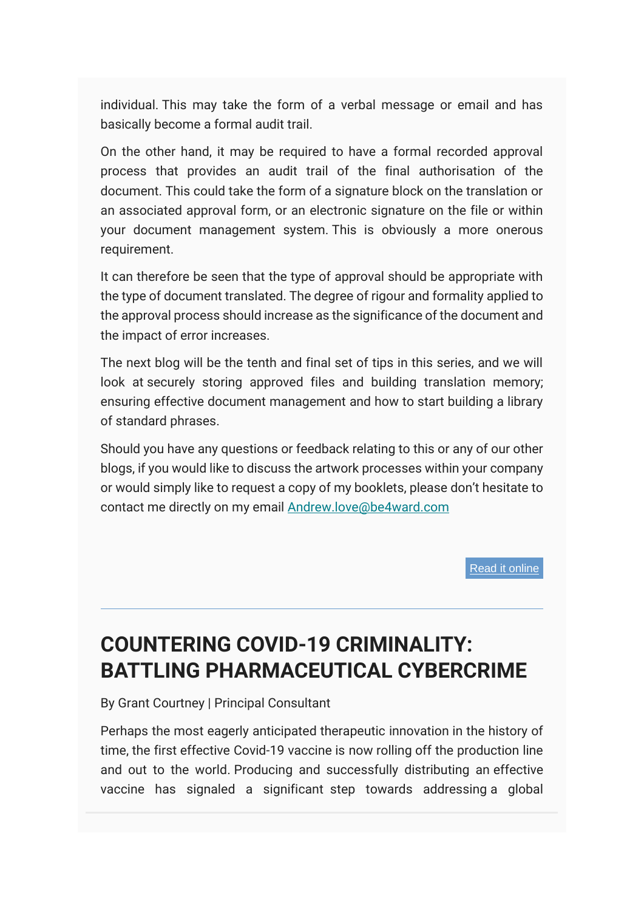individual. This may take the form of a verbal message or email and has basically become a formal audit trail.

On the other hand, it may be required to have a formal recorded approval process that provides an audit trail of the final authorisation of the document. This could take the form of a signature block on the translation or an associated approval form, or an electronic signature on the file or within your document management system. This is obviously a more onerous requirement.

It can therefore be seen that the type of approval should be appropriate with the type of document translated. The degree of rigour and formality applied to the approval process should increase as the significance of the document and the impact of error increases.

The next blog will be the tenth and final set of tips in this series, and we will look at securely storing approved files and building translation memory; ensuring effective document management and how to start building a library of standard phrases.

Should you have any questions or feedback relating to this or any of our other blogs, if you would like to discuss the artwork processes within your company or would simply like to request a copy of my booklets, please don't hesitate to contact me directly on my email [Andrew.love@be4ward.com](mailto:Andrew.love@be4ward.com)

[Read it online](https://www.be4ward.com/ensuring-effective-translations-approving-the-translation-2/)

# <span id="page-26-0"></span>**COUNTERING COVID-19 CRIMINALITY: BATTLING PHARMACEUTICAL CYBERCRIME**

#### By Grant Courtney | Principal Consultant

Perhaps the most eagerly anticipated therapeutic innovation in the history of time, the first effective Covid-19 vaccine is now rolling off the production line and out to the world. Producing and successfully distributing an effective vaccine has signaled a significant step towards addressing a global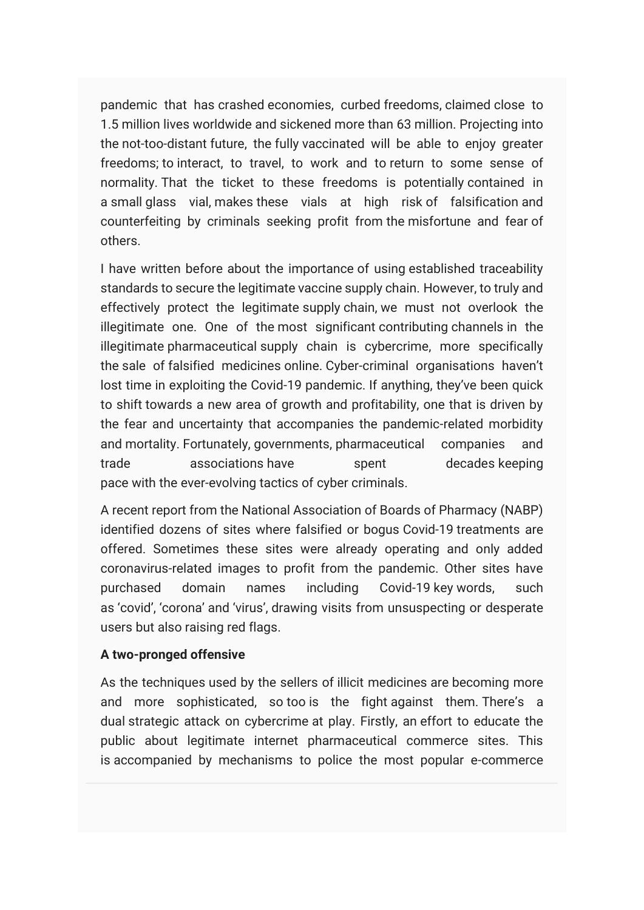pandemic that has crashed economies, curbed freedoms, claimed close to 1.5 million lives worldwide and sickened more than 63 million. Projecting into the not-too-distant future, the fully vaccinated will be able to enjoy greater freedoms; to interact, to travel, to work and to return to some sense of normality. That the ticket to these freedoms is potentially contained in a small glass vial, makes these vials at high risk of falsification and counterfeiting by criminals seeking profit from the misfortune and fear of others.

I have written before about the importance of using established traceability standards to secure the legitimate vaccine supply chain. However, to truly and effectively protect the legitimate supply chain, we must not overlook the illegitimate one. One of the most significant contributing channels in the illegitimate pharmaceutical supply chain is cybercrime, more specifically the sale of falsified medicines online. Cyber-criminal organisations haven't lost time in exploiting the Covid-19 pandemic. If anything, they've been quick to shift towards a new area of growth and profitability, one that is driven by the fear and uncertainty that accompanies the pandemic-related morbidity and mortality. Fortunately, governments, pharmaceutical companies and trade associations have spent decades keeping pace with the ever-evolving tactics of cyber criminals.

A recent report from the National Association of Boards of Pharmacy (NABP) identified dozens of sites where falsified or bogus Covid-19 treatments are offered. Sometimes these sites were already operating and only added coronavirus-related images to profit from the pandemic. Other sites have purchased domain names including Covid-19 key words, such as 'covid', 'corona' and 'virus', drawing visits from unsuspecting or desperate users but also raising red flags.

#### **A two-pronged offensive**

As the techniques used by the sellers of illicit medicines are becoming more and more sophisticated, so too is the fight against them. There's a dual strategic attack on cybercrime at play. Firstly, an effort to educate the public about legitimate internet pharmaceutical commerce sites. This is accompanied by mechanisms to police the most popular e-commerce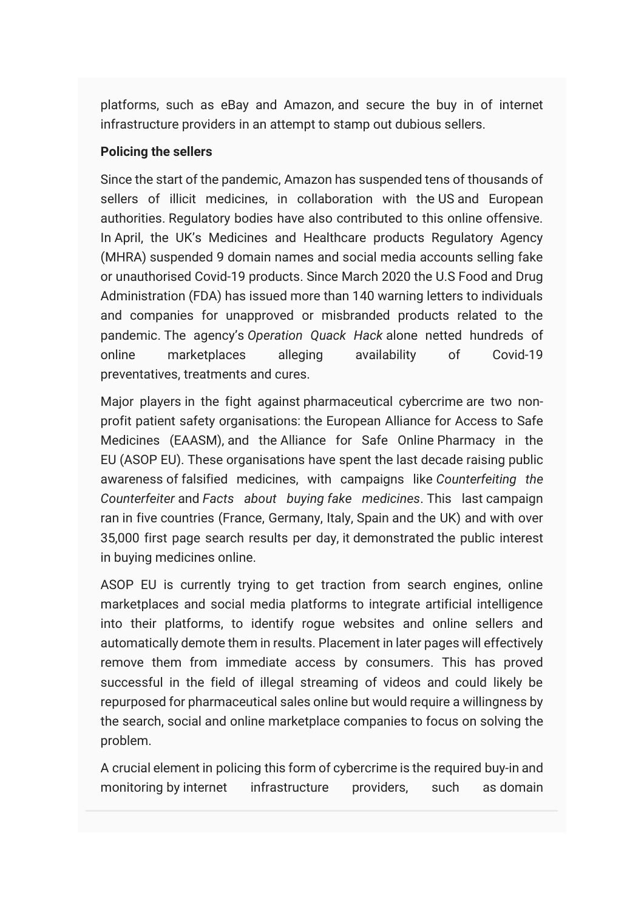platforms, such as eBay and Amazon, and secure the buy in of internet infrastructure providers in an attempt to stamp out dubious sellers.

### **Policing the sellers**

Since the start of the pandemic, Amazon has suspended tens of thousands of sellers of illicit medicines, in collaboration with the US and European authorities. Regulatory bodies have also contributed to this online offensive. In April, the UK's Medicines and Healthcare products Regulatory Agency (MHRA) suspended 9 domain names and social media accounts selling fake or unauthorised Covid-19 products. Since March 2020 the U.S Food and Drug Administration (FDA) has issued more than 140 warning letters to individuals and companies for unapproved or misbranded products related to the pandemic. The agency's *Operation Quack Hack* alone netted hundreds of online marketplaces alleging availability of Covid-19 preventatives, treatments and cures.

Major players in the fight against pharmaceutical cybercrime are two nonprofit patient safety organisations: the European Alliance for Access to Safe Medicines (EAASM), and the Alliance for Safe Online Pharmacy in the EU (ASOP EU). These organisations have spent the last decade raising public awareness of falsified medicines, with campaigns like *Counterfeiting the Counterfeiter* and *Facts about buying fake medicines*. This last campaign ran in five countries (France, Germany, Italy, Spain and the UK) and with over 35,000 first page search results per day, it demonstrated the public interest in buying medicines online.

ASOP EU is currently trying to get traction from search engines, online marketplaces and social media platforms to integrate artificial intelligence into their platforms, to identify rogue websites and online sellers and automatically demote them in results. Placement in later pages will effectively remove them from immediate access by consumers. This has proved successful in the field of illegal streaming of videos and could likely be repurposed for pharmaceutical sales online but would require a willingness by the search, social and online marketplace companies to focus on solving the problem.

A crucial element in policing this form of cybercrime is the required buy-in and monitoring by internet infrastructure providers, such as domain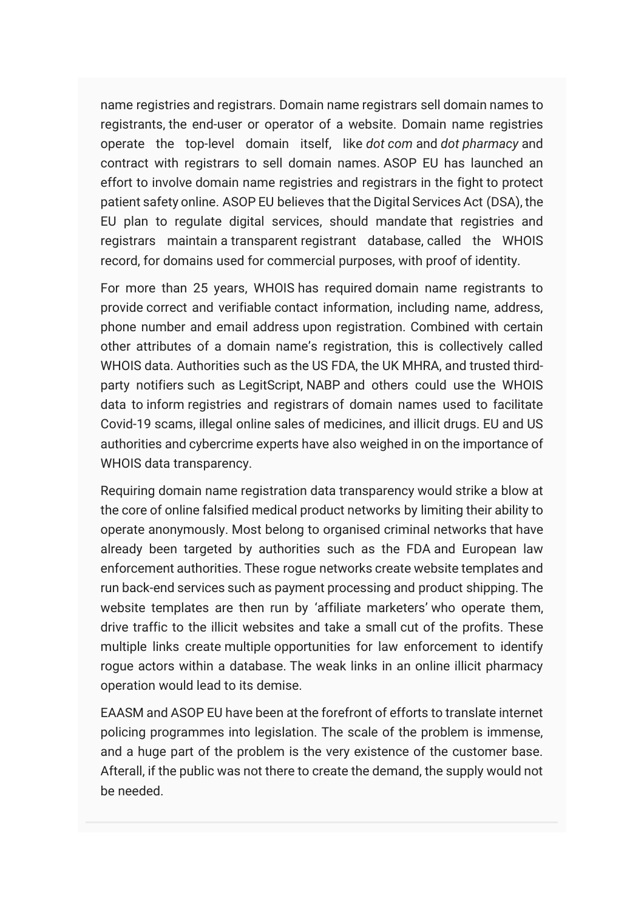name registries and registrars. Domain name registrars sell domain names to registrants, the end-user or operator of a website. Domain name registries operate the top-level domain itself, like *dot com* and *dot pharmacy* and contract with registrars to sell domain names. ASOP EU has launched an effort to involve domain name registries and registrars in the fight to protect patient safety online. ASOP EU believes that the Digital Services Act (DSA), the EU plan to regulate digital services, should mandate that registries and registrars maintain a transparent registrant database, called the WHOIS record, for domains used for commercial purposes, with proof of identity.

For more than 25 years, WHOIS has required domain name registrants to provide correct and verifiable contact information, including name, address, phone number and email address upon registration. Combined with certain other attributes of a domain name's registration, this is collectively called WHOIS data. Authorities such as the US FDA, the UK MHRA, and trusted thirdparty notifiers such as LegitScript, NABP and others could use the WHOIS data to inform registries and registrars of domain names used to facilitate Covid-19 scams, illegal online sales of medicines, and illicit drugs. EU and US authorities and cybercrime experts have also weighed in on the importance of WHOIS data transparency.

Requiring domain name registration data transparency would strike a blow at the core of online falsified medical product networks by limiting their ability to operate anonymously. Most belong to organised criminal networks that have already been targeted by authorities such as the FDA and European law enforcement authorities. These rogue networks create website templates and run back-end services such as payment processing and product shipping. The website templates are then run by 'affiliate marketers' who operate them, drive traffic to the illicit websites and take a small cut of the profits. These multiple links create multiple opportunities for law enforcement to identify rogue actors within a database. The weak links in an online illicit pharmacy operation would lead to its demise.

EAASM and ASOP EU have been at the forefront of efforts to translate internet policing programmes into legislation. The scale of the problem is immense, and a huge part of the problem is the very existence of the customer base. Afterall, if the public was not there to create the demand, the supply would not be needed.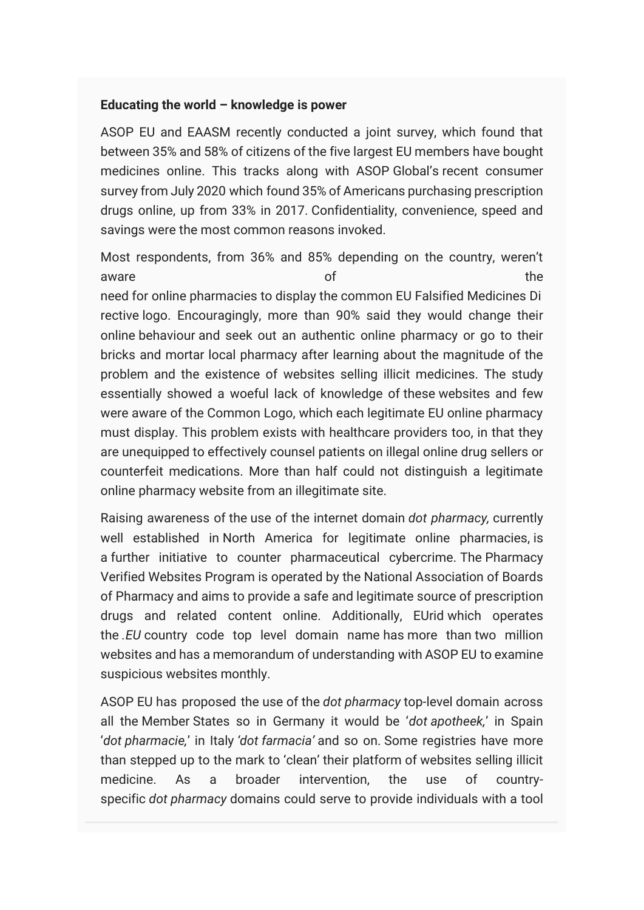#### **Educating the world – knowledge is power**

ASOP EU and EAASM recently conducted a joint survey, which found that between 35% and 58% of citizens of the five largest EU members have bought medicines online. This tracks along with ASOP Global's recent consumer survey from July 2020 which found 35% of Americans purchasing prescription drugs online, up from 33% in 2017. Confidentiality, convenience, speed and savings were the most common reasons invoked.

Most respondents, from 36% and 85% depending on the country, weren't aware the contract of the contract of the contract of the contract of the contract of the contract of the contract of the contract of the contract of the contract of the contract of the contract of the contract of the cont need for online pharmacies to display the common EU Falsified Medicines Di rective logo. Encouragingly, more than 90% said they would change their online behaviour and seek out an authentic online pharmacy or go to their bricks and mortar local pharmacy after learning about the magnitude of the problem and the existence of websites selling illicit medicines. The study essentially showed a woeful lack of knowledge of these websites and few were aware of the Common Logo, which each legitimate EU online pharmacy must display. This problem exists with healthcare providers too, in that they are unequipped to effectively counsel patients on illegal online drug sellers or counterfeit medications. More than half could not distinguish a legitimate online pharmacy website from an illegitimate site.

Raising awareness of the use of the internet domain *dot pharmacy,* currently well established in North America for legitimate online pharmacies, is a further initiative to counter pharmaceutical cybercrime. The Pharmacy Verified Websites Program is operated by the National Association of Boards of Pharmacy and aims to provide a safe and legitimate source of prescription drugs and related content online. Additionally, EUrid which operates the *.EU* country code top level domain name has more than two million websites and has a memorandum of understanding with ASOP EU to examine suspicious websites monthly.

ASOP EU has proposed the use of the *dot pharmacy* top-level domain across all the Member States so in Germany it would be '*dot apotheek,*' in Spain '*dot pharmacie,*' in Italy *'dot farmacia'* and so on. Some registries have more than stepped up to the mark to 'clean' their platform of websites selling illicit medicine. As a broader intervention, the use of countryspecific *dot pharmacy* domains could serve to provide individuals with a tool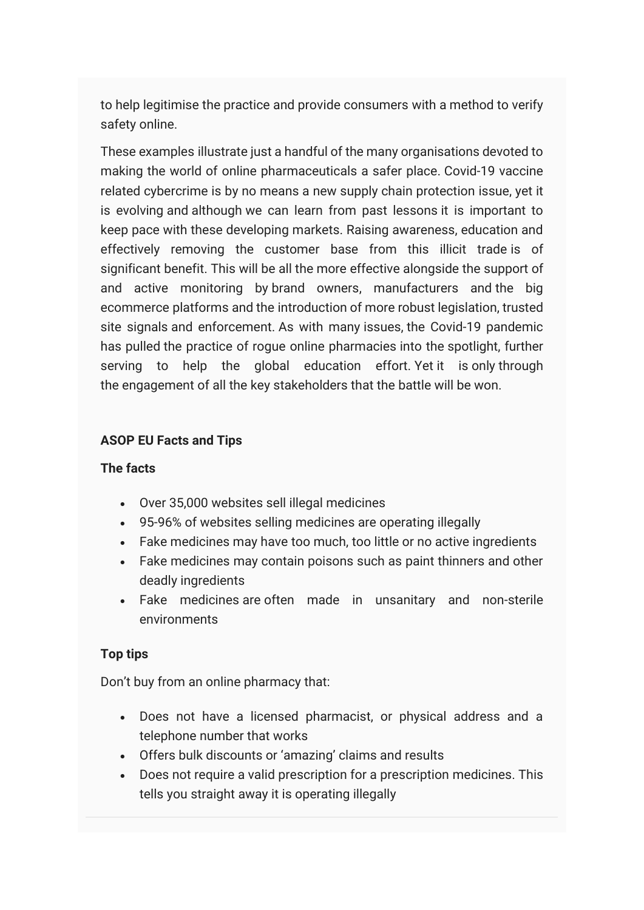to help legitimise the practice and provide consumers with a method to verify safety online.

These examples illustrate just a handful of the many organisations devoted to making the world of online pharmaceuticals a safer place. Covid-19 vaccine related cybercrime is by no means a new supply chain protection issue, yet it is evolving and although we can learn from past lessons it is important to keep pace with these developing markets. Raising awareness, education and effectively removing the customer base from this illicit trade is of significant benefit. This will be all the more effective alongside the support of and active monitoring by brand owners, manufacturers and the big ecommerce platforms and the introduction of more robust legislation, trusted site signals and enforcement. As with many issues, the Covid-19 pandemic has pulled the practice of rogue online pharmacies into the spotlight, further serving to help the global education effort. Yet it is only through the engagement of all the key stakeholders that the battle will be won.

### **ASOP EU Facts and Tips**

### **The facts**

- Over 35,000 websites sell illegal medicines
- 95-96% of websites selling medicines are operating illegally
- Fake medicines may have too much, too little or no active ingredients
- Fake medicines may contain poisons such as paint thinners and other deadly ingredients
- Fake medicines are often made in unsanitary and non-sterile environments

### **Top tips**

Don't buy from an online pharmacy that:

- Does not have a licensed pharmacist, or physical address and a telephone number that works
- Offers bulk discounts or 'amazing' claims and results
- Does not require a valid prescription for a prescription medicines. This tells you straight away it is operating illegally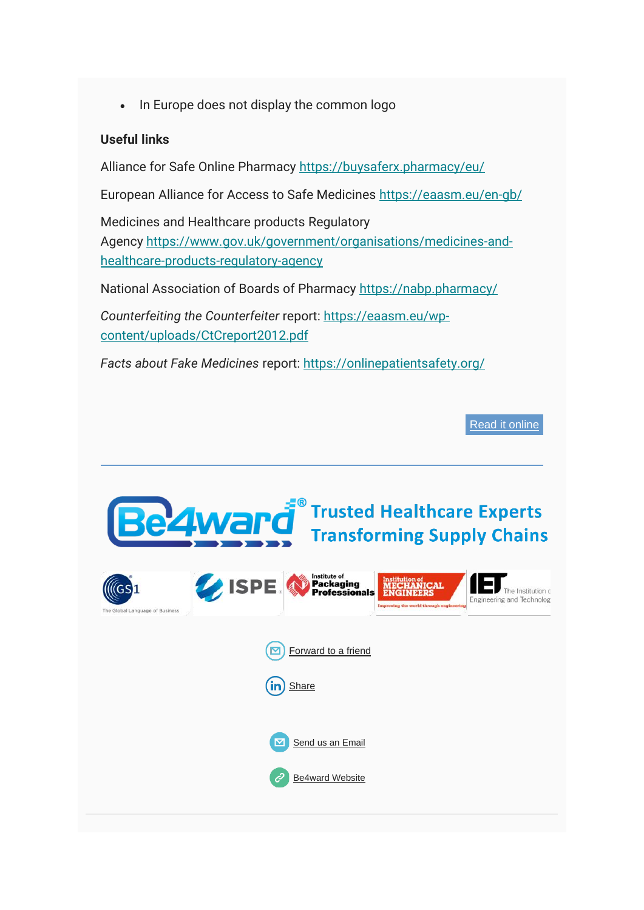• In Europe does not display the common logo

#### **Useful links**

Alliance for Safe Online Pharmacy https://buysaferx.pharmacy/eu/

European Alliance for Access to Safe Medicines <https://eaasm.eu/en-gb/>

Medicines and Healthcare products Regulatory Agency [https://www.gov.uk/government/organisations/medicines-and](https://www.gov.uk/government/organisations/medicines-and-healthcare-products-regulatory-agency)[healthcare-products-regulatory-agency](https://www.gov.uk/government/organisations/medicines-and-healthcare-products-regulatory-agency) 

National Association of Boards of Pharmacy <https://nabp.pharmacy/>

*Counterfeiting the Counterfeiter* report: [https://eaasm.eu/wp](https://eaasm.eu/wp-content/uploads/CtCreport2012.pdf)[content/uploads/CtCreport2012.pdf](https://eaasm.eu/wp-content/uploads/CtCreport2012.pdf) 

*Facts about Fake Medicines* report: <https://onlinepatientsafety.org/>

[Read it online](https://www.be4ward.com/countering-covid-19-criminality-battling-pharmaceutical-cybercrime/)